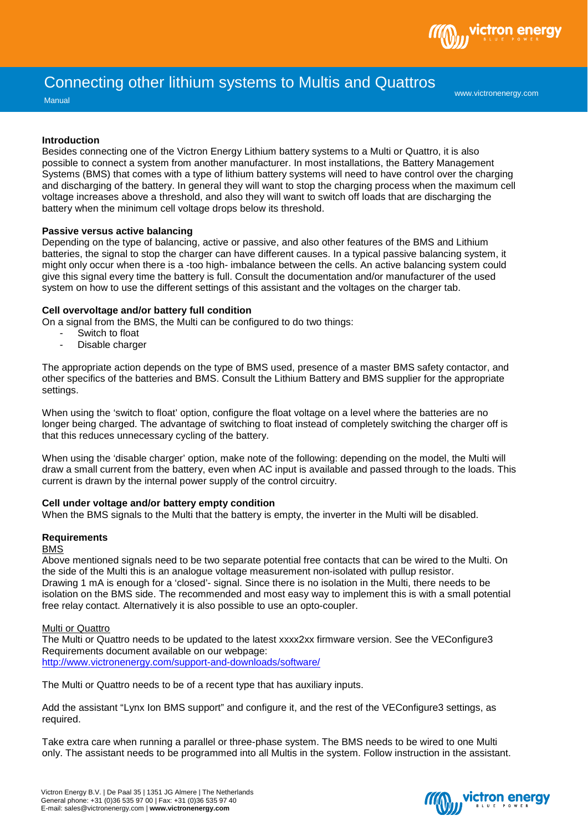

# Connecting other lithium systems to Multis and Quattros

**Manual** 

www.victronenergy.com

## **Introduction**

Besides connecting one of the Victron Energy Lithium battery systems to a Multi or Quattro, it is also possible to connect a system from another manufacturer. In most installations, the Battery Management Systems (BMS) that comes with a type of lithium battery systems will need to have control over the charging and discharging of the battery. In general they will want to stop the charging process when the maximum cell voltage increases above a threshold, and also they will want to switch off loads that are discharging the battery when the minimum cell voltage drops below its threshold.

## **Passive versus active balancing**

Depending on the type of balancing, active or passive, and also other features of the BMS and Lithium batteries, the signal to stop the charger can have different causes. In a typical passive balancing system, it might only occur when there is a -too high- imbalance between the cells. An active balancing system could give this signal every time the battery is full. Consult the documentation and/or manufacturer of the used system on how to use the different settings of this assistant and the voltages on the charger tab.

## **Cell overvoltage and/or battery full condition**

On a signal from the BMS, the Multi can be configured to do two things:

- Switch to float
- Disable charger

The appropriate action depends on the type of BMS used, presence of a master BMS safety contactor, and other specifics of the batteries and BMS. Consult the Lithium Battery and BMS supplier for the appropriate settings.

When using the 'switch to float' option, configure the float voltage on a level where the batteries are no longer being charged. The advantage of switching to float instead of completely switching the charger off is that this reduces unnecessary cycling of the battery.

When using the 'disable charger' option, make note of the following: depending on the model, the Multi will draw a small current from the battery, even when AC input is available and passed through to the loads. This current is drawn by the internal power supply of the control circuitry.

## **Cell under voltage and/or battery empty condition**

When the BMS signals to the Multi that the battery is empty, the inverter in the Multi will be disabled.

# **Requirements**

#### BMS

Above mentioned signals need to be two separate potential free contacts that can be wired to the Multi. On the side of the Multi this is an analogue voltage measurement non-isolated with pullup resistor. Drawing 1 mA is enough for a 'closed'- signal. Since there is no isolation in the Multi, there needs to be isolation on the BMS side. The recommended and most easy way to implement this is with a small potential free relay contact. Alternatively it is also possible to use an opto-coupler.

## Multi or Quattro

The Multi or Quattro needs to be updated to the latest xxxx2xx firmware version. See the VEConfigure3 Requirements document available on our webpage: <http://www.victronenergy.com/support-and-downloads/software/>

The Multi or Quattro needs to be of a recent type that has auxiliary inputs.

Add the assistant "Lynx Ion BMS support" and configure it, and the rest of the VEConfigure3 settings, as required.

Take extra care when running a parallel or three-phase system. The BMS needs to be wired to one Multi only. The assistant needs to be programmed into all Multis in the system. Follow instruction in the assistant.

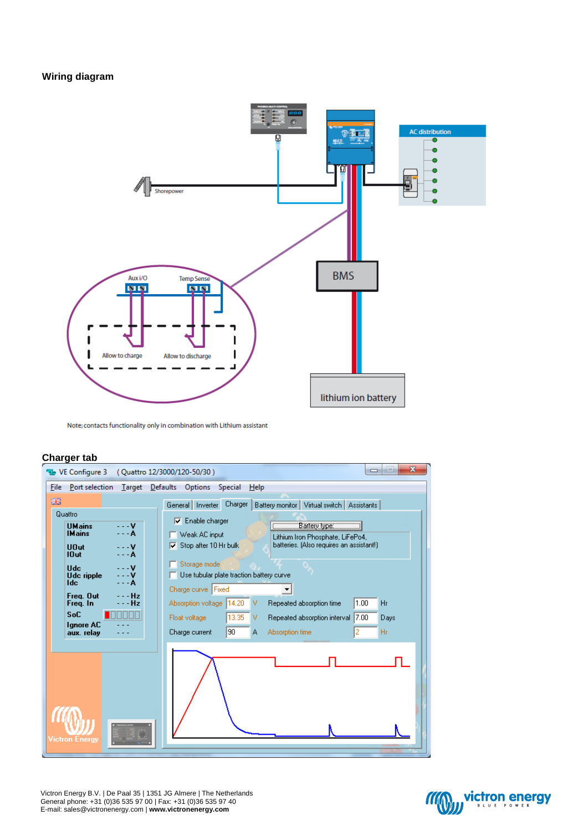# **Wiring diagram**



Note; contacts functionality only in combination with Lithium assistant

# **Charger tab**



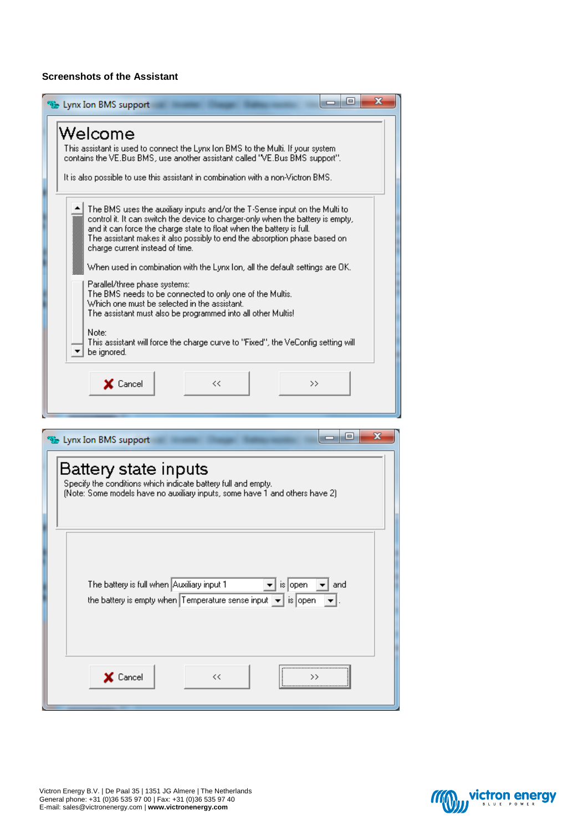# **Screenshots of the Assistant**

| E<br>x<br>$\Box$<br>Lynx Ion BMS support                                                                                                                                                                                                                                                                                                                                                                                              |
|---------------------------------------------------------------------------------------------------------------------------------------------------------------------------------------------------------------------------------------------------------------------------------------------------------------------------------------------------------------------------------------------------------------------------------------|
| Welcome                                                                                                                                                                                                                                                                                                                                                                                                                               |
| This assistant is used to connect the Lynx Ion BMS to the Multi. If your system<br>contains the VE.Bus BMS, use another assistant called "VE.Bus BMS support".                                                                                                                                                                                                                                                                        |
| It is also possible to use this assistant in combination with a non-Victron BMS.                                                                                                                                                                                                                                                                                                                                                      |
| The BMS uses the auxiliary inputs and/or the T-Sense input on the Multi to<br>control it. It can switch the device to charger-only when the battery is empty,<br>and it can force the charge state to float when the battery is full.<br>The assistant makes it also possibly to end the absorption phase based on<br>charge current instead of time.<br>When used in combination with the Lynx Ion, all the default settings are OK. |
| Parallel/three phase systems:<br>The BMS needs to be connected to only one of the Multis.<br>Which one must be selected in the assistant.<br>The assistant must also be programmed into all other Multis!<br>Note:<br>This assistant will force the charge curve to "Fixed", the VeConfig setting will                                                                                                                                |
| be ignored.<br>X Cancel<br><<<br>>>                                                                                                                                                                                                                                                                                                                                                                                                   |
|                                                                                                                                                                                                                                                                                                                                                                                                                                       |
| x<br>$\qquad \qquad =$<br>by Lynx Ion BMS support                                                                                                                                                                                                                                                                                                                                                                                     |
| Battery state inputs<br>Specify the conditions which indicate battery full and empty.<br>(Note: Some models have no auxiliary inputs, some have 1 and others have 2)                                                                                                                                                                                                                                                                  |
| The battery is full when Auxiliary input 1<br>is open<br>and<br>the battery is empty when Temperature sense input $\left  \bullet \right $ is open                                                                                                                                                                                                                                                                                    |
| X Cancel<br><<<br>>>                                                                                                                                                                                                                                                                                                                                                                                                                  |

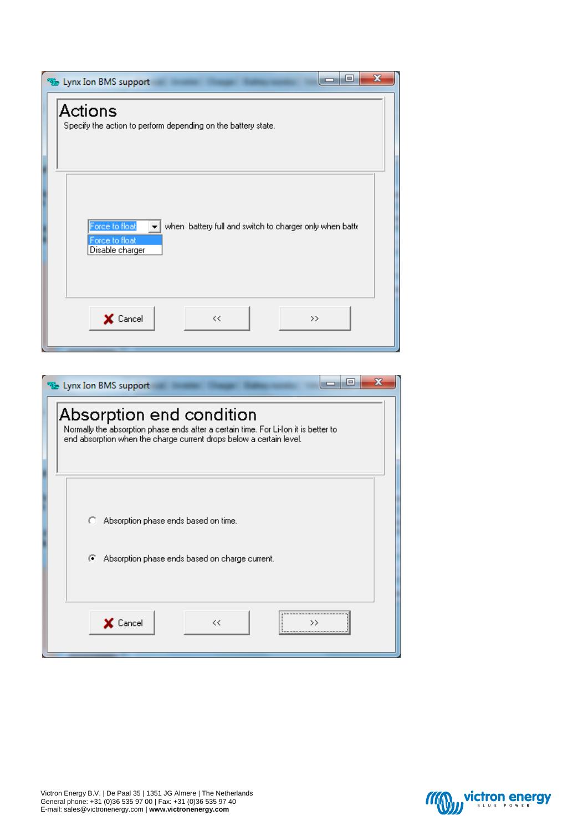| $\mathbf{x}$<br>▣<br>Lynx Ion BMS support<br>--                                                                |
|----------------------------------------------------------------------------------------------------------------|
| Actions<br>Specify the action to perform depending on the battery state.                                       |
| Force to float<br>when battery full and switch to charger only when batte<br>Force to float<br>Disable charger |
| X Cancel<br><<<br>$>\,$                                                                                        |

| x<br>e<br>Unx Ion BMS support                                                                                                                                                          |
|----------------------------------------------------------------------------------------------------------------------------------------------------------------------------------------|
| Absorption end condition<br>Normally the absorption phase ends after a certain time. For Li-Ion it is better to<br>end absorption when the charge current drops below a certain level. |
| Absorption phase ends based on time.<br>с.                                                                                                                                             |
| Absorption phase ends based on charge current.<br>G.                                                                                                                                   |
| X Cancel<br><<                                                                                                                                                                         |